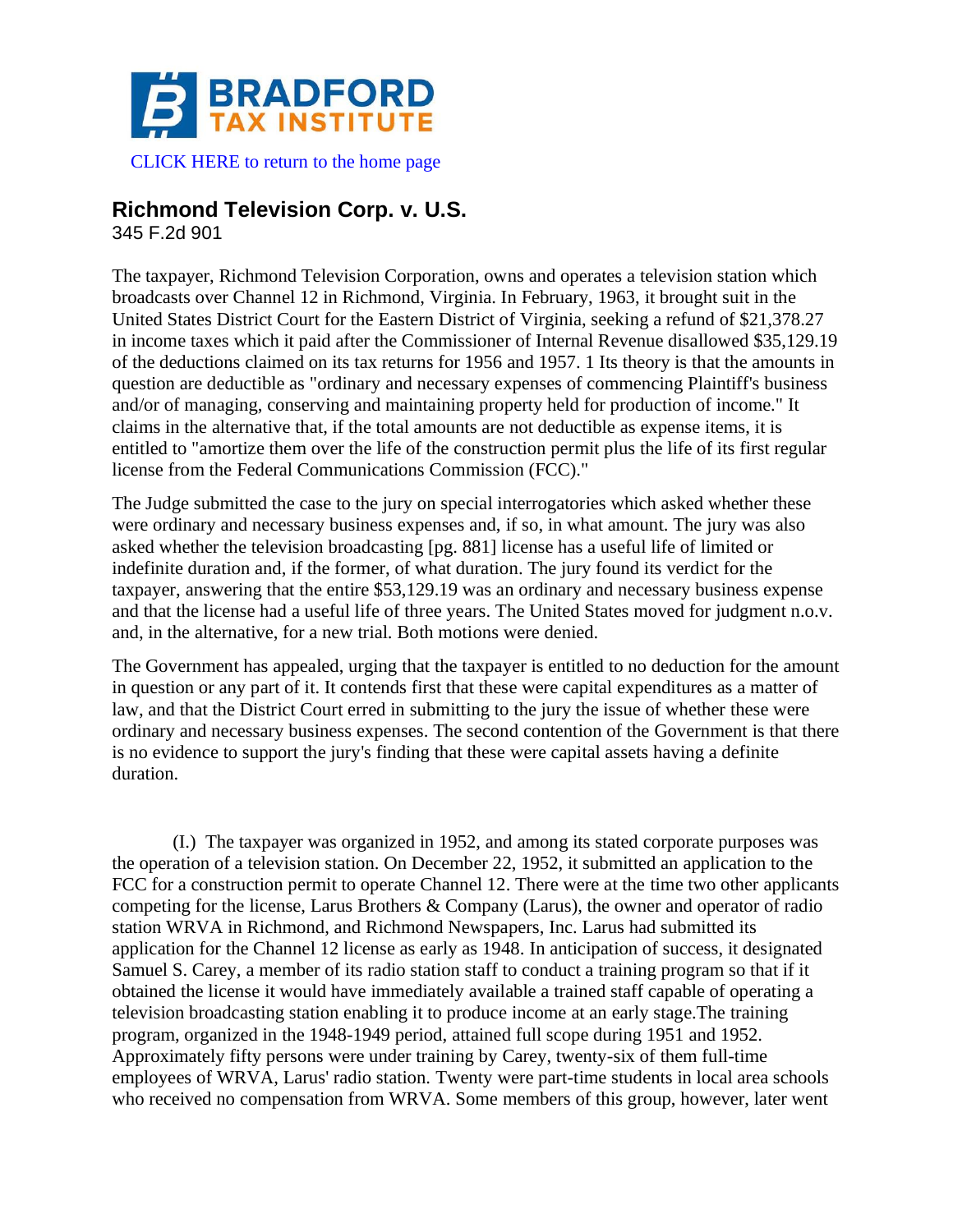

 [CLICK HERE to return to the home page](https://www.bradfordtaxinstitute.com)

## **Richmond Television Corp. v. U.S.**

345 F.2d 901

The taxpayer, Richmond Television Corporation, owns and operates a television station which broadcasts over Channel 12 in Richmond, Virginia. In February, 1963, it brought suit in the United States District Court for the Eastern District of Virginia, seeking a refund of \$21,378.27 in income taxes which it paid after the Commissioner of Internal Revenue disallowed \$35,129.19 of the deductions claimed on its tax returns for 1956 and 1957. 1 Its theory is that the amounts in question are deductible as "ordinary and necessary expenses of commencing Plaintiff's business and/or of managing, conserving and maintaining property held for production of income." It claims in the alternative that, if the total amounts are not deductible as expense items, it is entitled to "amortize them over the life of the construction permit plus the life of its first regular license from the Federal Communications Commission (FCC)."

The Judge submitted the case to the jury on special interrogatories which asked whether these were ordinary and necessary business expenses and, if so, in what amount. The jury was also asked whether the television broadcasting [pg. 881] license has a useful life of limited or indefinite duration and, if the former, of what duration. The jury found its verdict for the taxpayer, answering that the entire \$53,129.19 was an ordinary and necessary business expense and that the license had a useful life of three years. The United States moved for judgment n.o.v. and, in the alternative, for a new trial. Both motions were denied.

The Government has appealed, urging that the taxpayer is entitled to no deduction for the amount in question or any part of it. It contends first that these were capital expenditures as a matter of law, and that the District Court erred in submitting to the jury the issue of whether these were ordinary and necessary business expenses. The second contention of the Government is that there is no evidence to support the jury's finding that these were capital assets having a definite duration.

(I.) The taxpayer was organized in 1952, and among its stated corporate purposes was the operation of a television station. On December 22, 1952, it submitted an application to the FCC for a construction permit to operate Channel 12. There were at the time two other applicants competing for the license, Larus Brothers & Company (Larus), the owner and operator of radio station WRVA in Richmond, and Richmond Newspapers, Inc. Larus had submitted its application for the Channel 12 license as early as 1948. In anticipation of success, it designated Samuel S. Carey, a member of its radio station staff to conduct a training program so that if it obtained the license it would have immediately available a trained staff capable of operating a television broadcasting station enabling it to produce income at an early stage.The training program, organized in the 1948-1949 period, attained full scope during 1951 and 1952. Approximately fifty persons were under training by Carey, twenty-six of them full-time employees of WRVA, Larus' radio station. Twenty were part-time students in local area schools who received no compensation from WRVA. Some members of this group, however, later went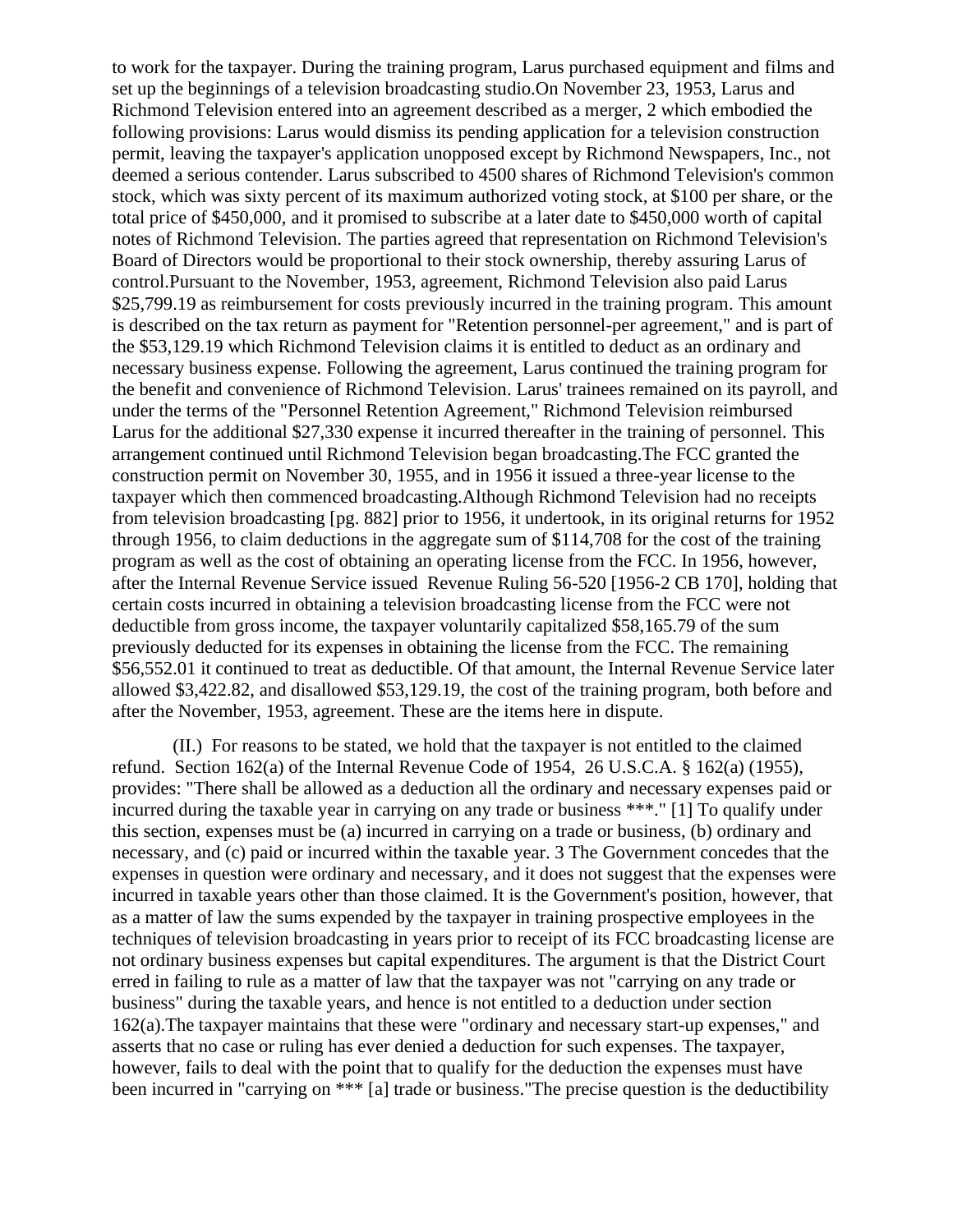to work for the taxpayer. During the training program, Larus purchased equipment and films and set up the beginnings of a television broadcasting studio.On November 23, 1953, Larus and Richmond Television entered into an agreement described as a merger, 2 which embodied the following provisions: Larus would dismiss its pending application for a television construction permit, leaving the taxpayer's application unopposed except by Richmond Newspapers, Inc., not deemed a serious contender. Larus subscribed to 4500 shares of Richmond Television's common stock, which was sixty percent of its maximum authorized voting stock, at \$100 per share, or the total price of \$450,000, and it promised to subscribe at a later date to \$450,000 worth of capital notes of Richmond Television. The parties agreed that representation on Richmond Television's Board of Directors would be proportional to their stock ownership, thereby assuring Larus of control.Pursuant to the November, 1953, agreement, Richmond Television also paid Larus \$25,799.19 as reimbursement for costs previously incurred in the training program. This amount is described on the tax return as payment for "Retention personnel-per agreement," and is part of the \$53,129.19 which Richmond Television claims it is entitled to deduct as an ordinary and necessary business expense. Following the agreement, Larus continued the training program for the benefit and convenience of Richmond Television. Larus' trainees remained on its payroll, and under the terms of the "Personnel Retention Agreement," Richmond Television reimbursed Larus for the additional \$27,330 expense it incurred thereafter in the training of personnel. This arrangement continued until Richmond Television began broadcasting.The FCC granted the construction permit on November 30, 1955, and in 1956 it issued a three-year license to the taxpayer which then commenced broadcasting.Although Richmond Television had no receipts from television broadcasting [pg. 882] prior to 1956, it undertook, in its original returns for 1952 through 1956, to claim deductions in the aggregate sum of \$114,708 for the cost of the training program as well as the cost of obtaining an operating license from the FCC. In 1956, however, after the Internal Revenue Service issued Revenue Ruling 56-520 [1956-2 CB 170], holding that certain costs incurred in obtaining a television broadcasting license from the FCC were not deductible from gross income, the taxpayer voluntarily capitalized \$58,165.79 of the sum previously deducted for its expenses in obtaining the license from the FCC. The remaining \$56,552.01 it continued to treat as deductible. Of that amount, the Internal Revenue Service later allowed \$3,422.82, and disallowed \$53,129.19, the cost of the training program, both before and after the November, 1953, agreement. These are the items here in dispute.

(II.) For reasons to be stated, we hold that the taxpayer is not entitled to the claimed refund. Section 162(a) of the Internal Revenue Code of 1954, 26 U.S.C.A. § 162(a) (1955), provides: "There shall be allowed as a deduction all the ordinary and necessary expenses paid or incurred during the taxable year in carrying on any trade or business \*\*\*." [1] To qualify under this section, expenses must be (a) incurred in carrying on a trade or business, (b) ordinary and necessary, and (c) paid or incurred within the taxable year. 3 The Government concedes that the expenses in question were ordinary and necessary, and it does not suggest that the expenses were incurred in taxable years other than those claimed. It is the Government's position, however, that as a matter of law the sums expended by the taxpayer in training prospective employees in the techniques of television broadcasting in years prior to receipt of its FCC broadcasting license are not ordinary business expenses but capital expenditures. The argument is that the District Court erred in failing to rule as a matter of law that the taxpayer was not "carrying on any trade or business" during the taxable years, and hence is not entitled to a deduction under section 162(a).The taxpayer maintains that these were "ordinary and necessary start-up expenses," and asserts that no case or ruling has ever denied a deduction for such expenses. The taxpayer, however, fails to deal with the point that to qualify for the deduction the expenses must have been incurred in "carrying on \*\*\* [a] trade or business."The precise question is the deductibility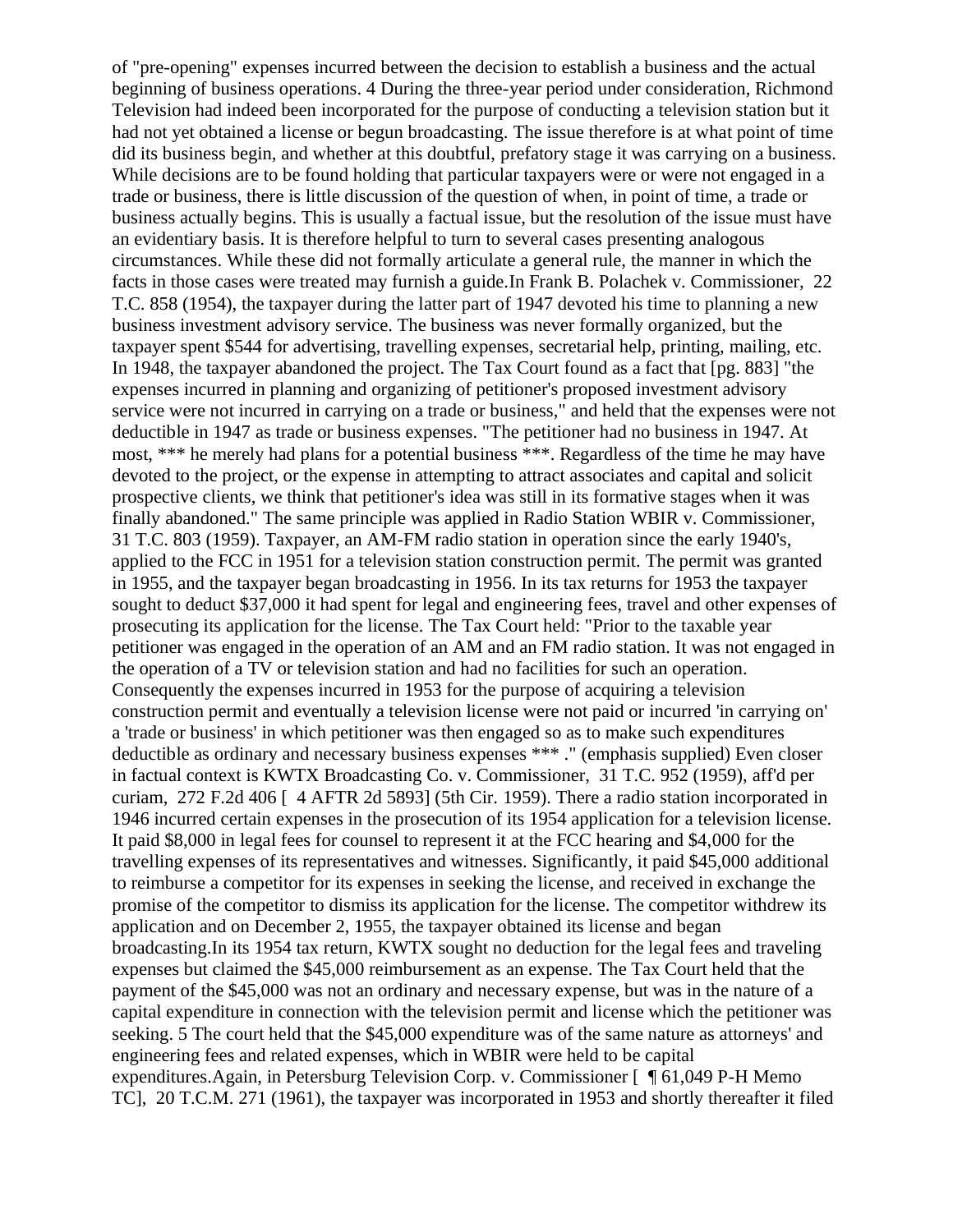of "pre-opening" expenses incurred between the decision to establish a business and the actual beginning of business operations. 4 During the three-year period under consideration, Richmond Television had indeed been incorporated for the purpose of conducting a television station but it had not yet obtained a license or begun broadcasting. The issue therefore is at what point of time did its business begin, and whether at this doubtful, prefatory stage it was carrying on a business. While decisions are to be found holding that particular taxpayers were or were not engaged in a trade or business, there is little discussion of the question of when, in point of time, a trade or business actually begins. This is usually a factual issue, but the resolution of the issue must have an evidentiary basis. It is therefore helpful to turn to several cases presenting analogous circumstances. While these did not formally articulate a general rule, the manner in which the facts in those cases were treated may furnish a guide.In Frank B. Polachek v. Commissioner, 22 T.C. 858 (1954), the taxpayer during the latter part of 1947 devoted his time to planning a new business investment advisory service. The business was never formally organized, but the taxpayer spent \$544 for advertising, travelling expenses, secretarial help, printing, mailing, etc. In 1948, the taxpayer abandoned the project. The Tax Court found as a fact that [pg. 883] "the expenses incurred in planning and organizing of petitioner's proposed investment advisory service were not incurred in carrying on a trade or business," and held that the expenses were not deductible in 1947 as trade or business expenses. "The petitioner had no business in 1947. At most, \*\*\* he merely had plans for a potential business \*\*\*. Regardless of the time he may have devoted to the project, or the expense in attempting to attract associates and capital and solicit prospective clients, we think that petitioner's idea was still in its formative stages when it was finally abandoned." The same principle was applied in Radio Station WBIR v. Commissioner, 31 T.C. 803 (1959). Taxpayer, an AM-FM radio station in operation since the early 1940's, applied to the FCC in 1951 for a television station construction permit. The permit was granted in 1955, and the taxpayer began broadcasting in 1956. In its tax returns for 1953 the taxpayer sought to deduct \$37,000 it had spent for legal and engineering fees, travel and other expenses of prosecuting its application for the license. The Tax Court held: "Prior to the taxable year petitioner was engaged in the operation of an AM and an FM radio station. It was not engaged in the operation of a TV or television station and had no facilities for such an operation. Consequently the expenses incurred in 1953 for the purpose of acquiring a television construction permit and eventually a television license were not paid or incurred 'in carrying on' a 'trade or business' in which petitioner was then engaged so as to make such expenditures deductible as ordinary and necessary business expenses \*\*\* ." (emphasis supplied) Even closer in factual context is KWTX Broadcasting Co. v. Commissioner, 31 T.C. 952 (1959), aff'd per curiam, 272 F.2d 406 [ 4 AFTR 2d 5893] (5th Cir. 1959). There a radio station incorporated in 1946 incurred certain expenses in the prosecution of its 1954 application for a television license. It paid \$8,000 in legal fees for counsel to represent it at the FCC hearing and \$4,000 for the travelling expenses of its representatives and witnesses. Significantly, it paid \$45,000 additional to reimburse a competitor for its expenses in seeking the license, and received in exchange the promise of the competitor to dismiss its application for the license. The competitor withdrew its application and on December 2, 1955, the taxpayer obtained its license and began broadcasting.In its 1954 tax return, KWTX sought no deduction for the legal fees and traveling expenses but claimed the \$45,000 reimbursement as an expense. The Tax Court held that the payment of the \$45,000 was not an ordinary and necessary expense, but was in the nature of a capital expenditure in connection with the television permit and license which the petitioner was seeking. 5 The court held that the \$45,000 expenditure was of the same nature as attorneys' and engineering fees and related expenses, which in WBIR were held to be capital expenditures.Again, in Petersburg Television Corp. v. Commissioner [ ¶ 61,049 P-H Memo TC], 20 T.C.M. 271 (1961), the taxpayer was incorporated in 1953 and shortly thereafter it filed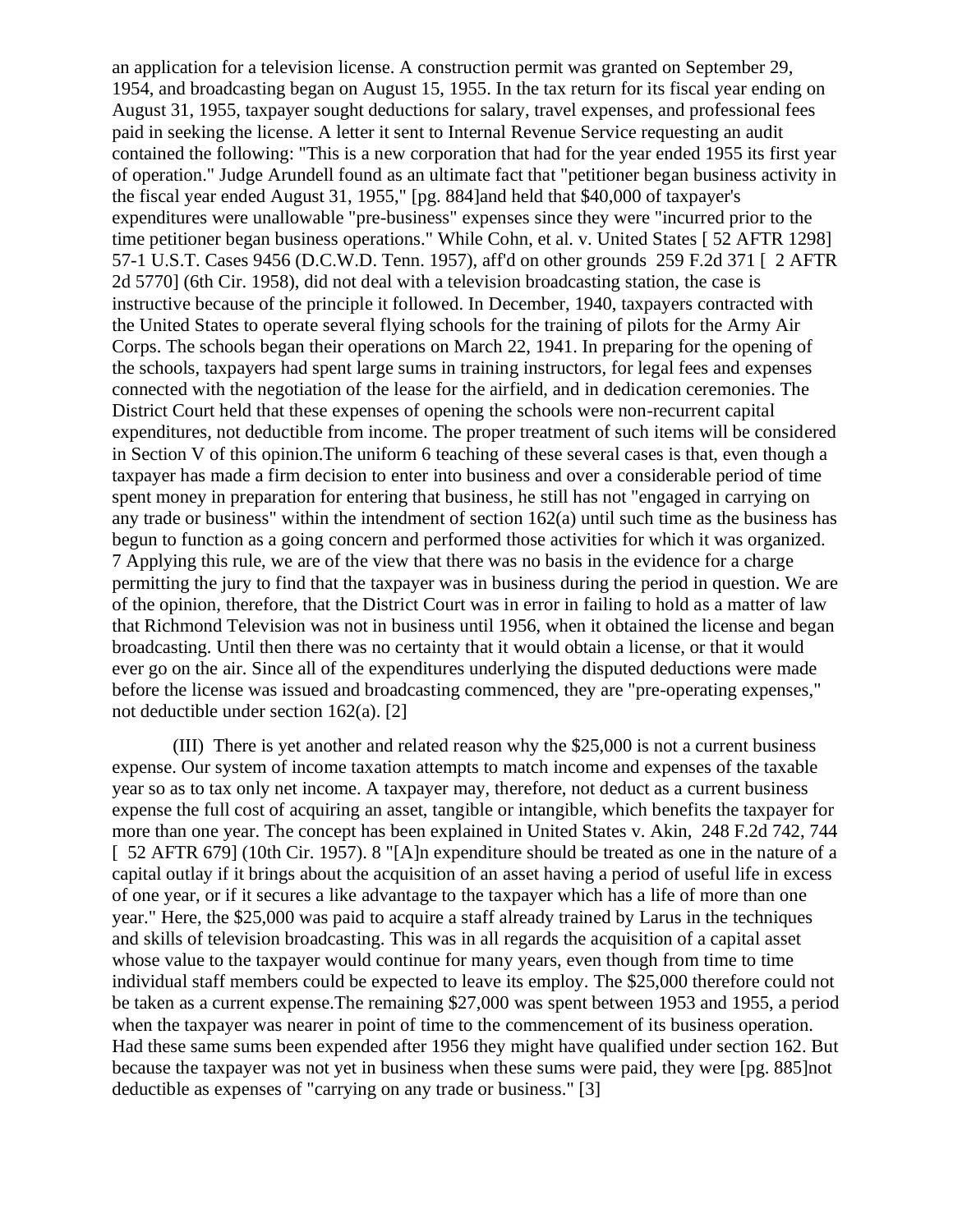an application for a television license. A construction permit was granted on September 29, 1954, and broadcasting began on August 15, 1955. In the tax return for its fiscal year ending on August 31, 1955, taxpayer sought deductions for salary, travel expenses, and professional fees paid in seeking the license. A letter it sent to Internal Revenue Service requesting an audit contained the following: "This is a new corporation that had for the year ended 1955 its first year of operation." Judge Arundell found as an ultimate fact that "petitioner began business activity in the fiscal year ended August 31, 1955," [pg. 884]and held that \$40,000 of taxpayer's expenditures were unallowable "pre-business" expenses since they were "incurred prior to the time petitioner began business operations." While Cohn, et al. v. United States [ 52 AFTR 1298] 57-1 U.S.T. Cases 9456 (D.C.W.D. Tenn. 1957), aff'd on other grounds 259 F.2d 371 [ 2 AFTR 2d 5770] (6th Cir. 1958), did not deal with a television broadcasting station, the case is instructive because of the principle it followed. In December, 1940, taxpayers contracted with the United States to operate several flying schools for the training of pilots for the Army Air Corps. The schools began their operations on March 22, 1941. In preparing for the opening of the schools, taxpayers had spent large sums in training instructors, for legal fees and expenses connected with the negotiation of the lease for the airfield, and in dedication ceremonies. The District Court held that these expenses of opening the schools were non-recurrent capital expenditures, not deductible from income. The proper treatment of such items will be considered in Section V of this opinion.The uniform 6 teaching of these several cases is that, even though a taxpayer has made a firm decision to enter into business and over a considerable period of time spent money in preparation for entering that business, he still has not "engaged in carrying on any trade or business" within the intendment of section 162(a) until such time as the business has begun to function as a going concern and performed those activities for which it was organized. 7 Applying this rule, we are of the view that there was no basis in the evidence for a charge permitting the jury to find that the taxpayer was in business during the period in question. We are of the opinion, therefore, that the District Court was in error in failing to hold as a matter of law that Richmond Television was not in business until 1956, when it obtained the license and began broadcasting. Until then there was no certainty that it would obtain a license, or that it would ever go on the air. Since all of the expenditures underlying the disputed deductions were made before the license was issued and broadcasting commenced, they are "pre-operating expenses," not deductible under section 162(a). [2]

(III) There is yet another and related reason why the \$25,000 is not a current business expense. Our system of income taxation attempts to match income and expenses of the taxable year so as to tax only net income. A taxpayer may, therefore, not deduct as a current business expense the full cost of acquiring an asset, tangible or intangible, which benefits the taxpayer for more than one year. The concept has been explained in United States v. Akin, 248 F.2d 742, 744 [ 52 AFTR 679] (10th Cir. 1957). 8 "[A]n expenditure should be treated as one in the nature of a capital outlay if it brings about the acquisition of an asset having a period of useful life in excess of one year, or if it secures a like advantage to the taxpayer which has a life of more than one year." Here, the \$25,000 was paid to acquire a staff already trained by Larus in the techniques and skills of television broadcasting. This was in all regards the acquisition of a capital asset whose value to the taxpayer would continue for many years, even though from time to time individual staff members could be expected to leave its employ. The \$25,000 therefore could not be taken as a current expense.The remaining \$27,000 was spent between 1953 and 1955, a period when the taxpayer was nearer in point of time to the commencement of its business operation. Had these same sums been expended after 1956 they might have qualified under section 162. But because the taxpayer was not yet in business when these sums were paid, they were [pg. 885]not deductible as expenses of "carrying on any trade or business." [3]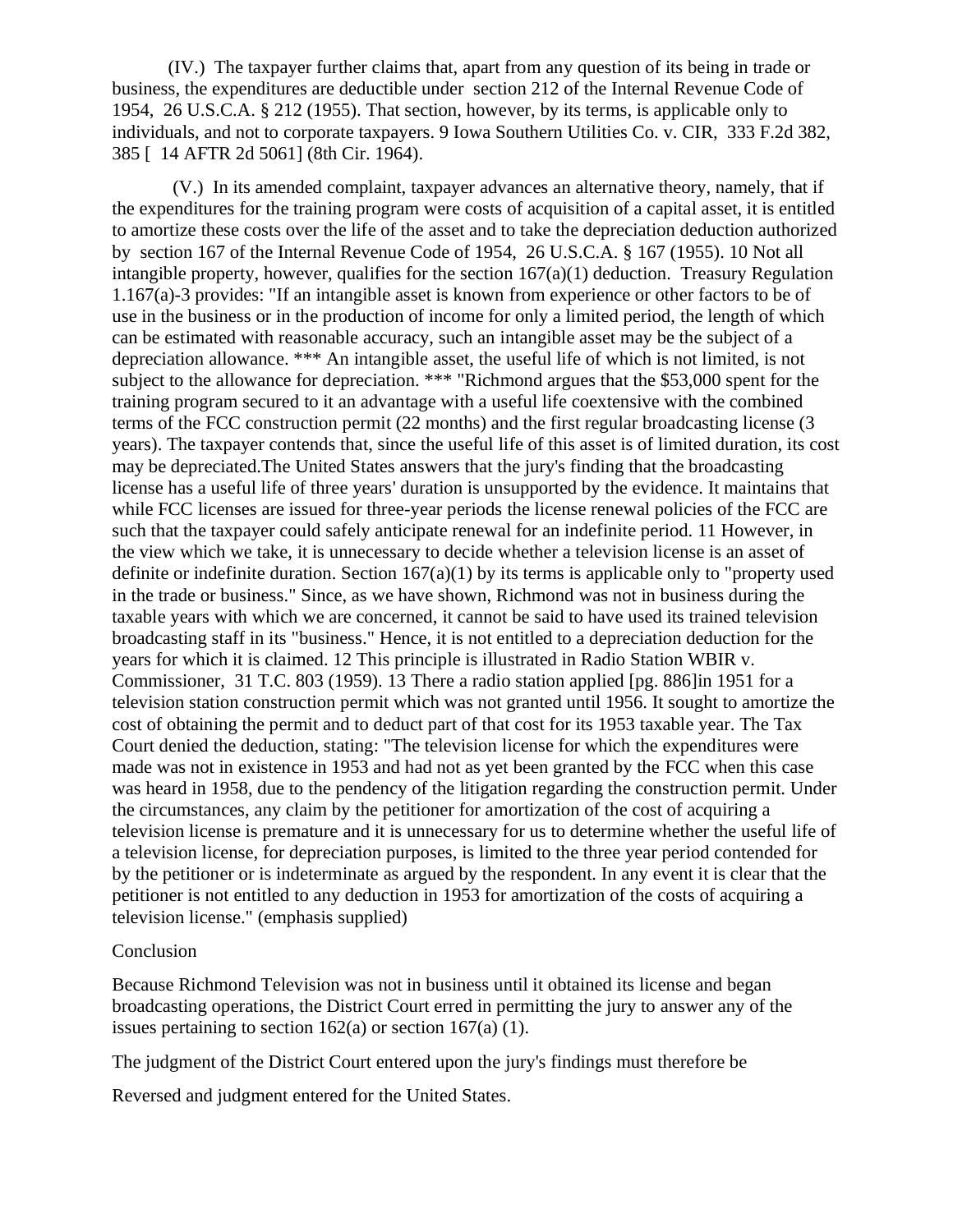(IV.) The taxpayer further claims that, apart from any question of its being in trade or business, the expenditures are deductible under section 212 of the Internal Revenue Code of 1954, 26 U.S.C.A. § 212 (1955). That section, however, by its terms, is applicable only to individuals, and not to corporate taxpayers. 9 Iowa Southern Utilities Co. v. CIR, 333 F.2d 382, 385 [ 14 AFTR 2d 5061] (8th Cir. 1964).

(V.) In its amended complaint, taxpayer advances an alternative theory, namely, that if the expenditures for the training program were costs of acquisition of a capital asset, it is entitled to amortize these costs over the life of the asset and to take the depreciation deduction authorized by section 167 of the Internal Revenue Code of 1954, 26 U.S.C.A. § 167 (1955). 10 Not all intangible property, however, qualifies for the section  $167(a)(1)$  deduction. Treasury Regulation 1.167(a)-3 provides: "If an intangible asset is known from experience or other factors to be of use in the business or in the production of income for only a limited period, the length of which can be estimated with reasonable accuracy, such an intangible asset may be the subject of a depreciation allowance. \*\*\* An intangible asset, the useful life of which is not limited, is not subject to the allowance for depreciation. \*\*\* "Richmond argues that the \$53,000 spent for the training program secured to it an advantage with a useful life coextensive with the combined terms of the FCC construction permit (22 months) and the first regular broadcasting license (3 years). The taxpayer contends that, since the useful life of this asset is of limited duration, its cost may be depreciated.The United States answers that the jury's finding that the broadcasting license has a useful life of three years' duration is unsupported by the evidence. It maintains that while FCC licenses are issued for three-year periods the license renewal policies of the FCC are such that the taxpayer could safely anticipate renewal for an indefinite period. 11 However, in the view which we take, it is unnecessary to decide whether a television license is an asset of definite or indefinite duration. Section  $167(a)(1)$  by its terms is applicable only to "property used in the trade or business." Since, as we have shown, Richmond was not in business during the taxable years with which we are concerned, it cannot be said to have used its trained television broadcasting staff in its "business." Hence, it is not entitled to a depreciation deduction for the years for which it is claimed. 12 This principle is illustrated in Radio Station WBIR v. Commissioner, 31 T.C. 803 (1959). 13 There a radio station applied [pg. 886]in 1951 for a television station construction permit which was not granted until 1956. It sought to amortize the cost of obtaining the permit and to deduct part of that cost for its 1953 taxable year. The Tax Court denied the deduction, stating: "The television license for which the expenditures were made was not in existence in 1953 and had not as yet been granted by the FCC when this case was heard in 1958, due to the pendency of the litigation regarding the construction permit. Under the circumstances, any claim by the petitioner for amortization of the cost of acquiring a television license is premature and it is unnecessary for us to determine whether the useful life of a television license, for depreciation purposes, is limited to the three year period contended for by the petitioner or is indeterminate as argued by the respondent. In any event it is clear that the petitioner is not entitled to any deduction in 1953 for amortization of the costs of acquiring a television license." (emphasis supplied)

## Conclusion

Because Richmond Television was not in business until it obtained its license and began broadcasting operations, the District Court erred in permitting the jury to answer any of the issues pertaining to section  $162(a)$  or section  $167(a)$  (1).

The judgment of the District Court entered upon the jury's findings must therefore be

Reversed and judgment entered for the United States.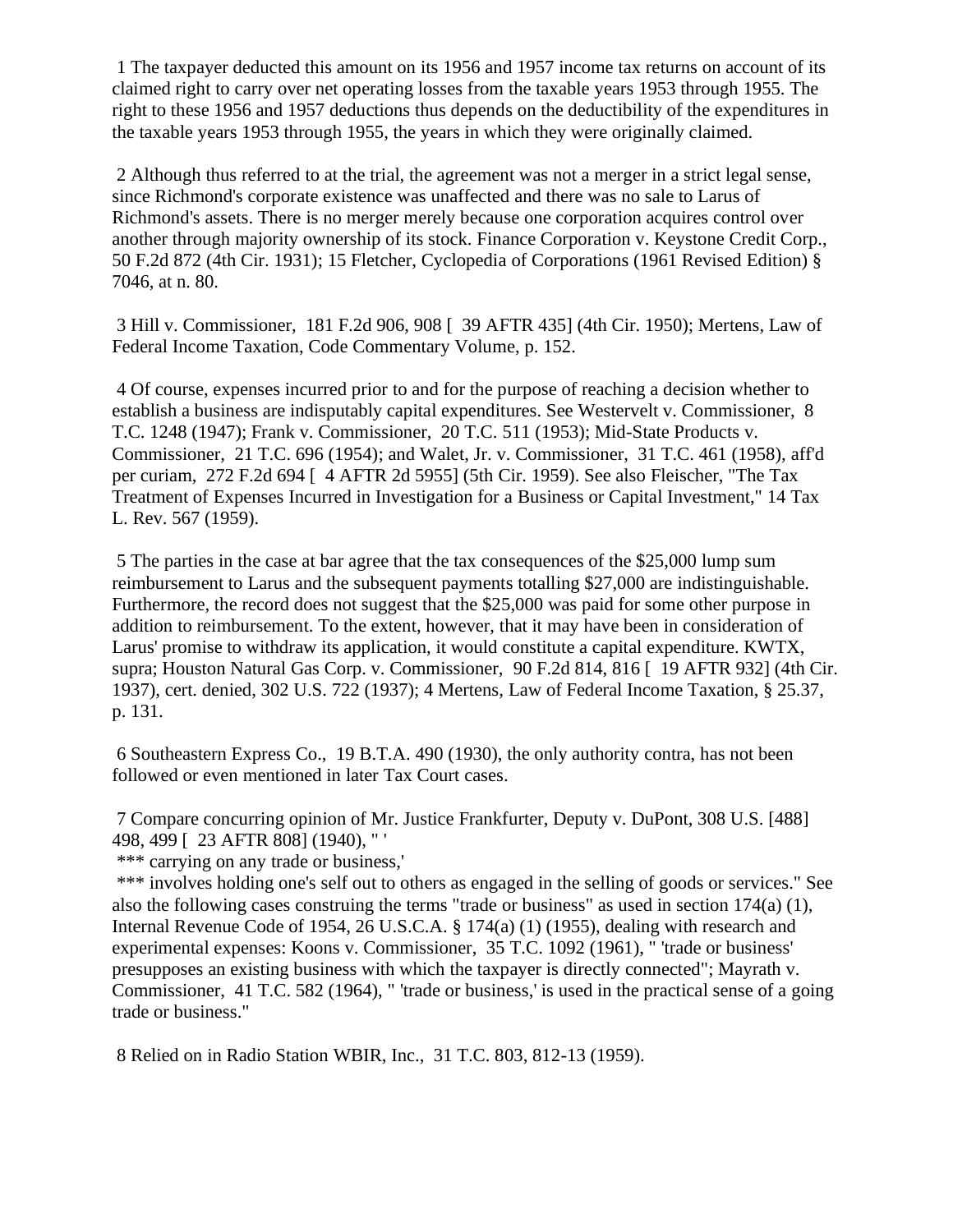1 The taxpayer deducted this amount on its 1956 and 1957 income tax returns on account of its claimed right to carry over net operating losses from the taxable years 1953 through 1955. The right to these 1956 and 1957 deductions thus depends on the deductibility of the expenditures in the taxable years 1953 through 1955, the years in which they were originally claimed.

2 Although thus referred to at the trial, the agreement was not a merger in a strict legal sense, since Richmond's corporate existence was unaffected and there was no sale to Larus of Richmond's assets. There is no merger merely because one corporation acquires control over another through majority ownership of its stock. Finance Corporation v. Keystone Credit Corp., 50 F.2d 872 (4th Cir. 1931); 15 Fletcher, Cyclopedia of Corporations (1961 Revised Edition) § 7046, at n. 80.

3 Hill v. Commissioner, 181 F.2d 906, 908 [ 39 AFTR 435] (4th Cir. 1950); Mertens, Law of Federal Income Taxation, Code Commentary Volume, p. 152.

4 Of course, expenses incurred prior to and for the purpose of reaching a decision whether to establish a business are indisputably capital expenditures. See Westervelt v. Commissioner, 8 T.C. 1248 (1947); Frank v. Commissioner, 20 T.C. 511 (1953); Mid-State Products v. Commissioner, 21 T.C. 696 (1954); and Walet, Jr. v. Commissioner, 31 T.C. 461 (1958), aff'd per curiam, 272 F.2d 694 [ 4 AFTR 2d 5955] (5th Cir. 1959). See also Fleischer, "The Tax Treatment of Expenses Incurred in Investigation for a Business or Capital Investment," 14 Tax L. Rev. 567 (1959).

5 The parties in the case at bar agree that the tax consequences of the \$25,000 lump sum reimbursement to Larus and the subsequent payments totalling \$27,000 are indistinguishable. Furthermore, the record does not suggest that the \$25,000 was paid for some other purpose in addition to reimbursement. To the extent, however, that it may have been in consideration of Larus' promise to withdraw its application, it would constitute a capital expenditure. KWTX, supra; Houston Natural Gas Corp. v. Commissioner, 90 F.2d 814, 816 [ 19 AFTR 932] (4th Cir. 1937), cert. denied, 302 U.S. 722 (1937); 4 Mertens, Law of Federal Income Taxation, § 25.37, p. 131.

6 Southeastern Express Co., 19 B.T.A. 490 (1930), the only authority contra, has not been followed or even mentioned in later Tax Court cases.

7 Compare concurring opinion of Mr. Justice Frankfurter, Deputy v. DuPont, 308 U.S. [488] 498, 499 [ 23 AFTR 808] (1940), " '

\*\*\* carrying on any trade or business,'

\*\*\* involves holding one's self out to others as engaged in the selling of goods or services." See also the following cases construing the terms "trade or business" as used in section  $174(a)$  (1), Internal Revenue Code of 1954, 26 U.S.C.A. § 174(a) (1) (1955), dealing with research and experimental expenses: Koons v. Commissioner, 35 T.C. 1092 (1961), " 'trade or business' presupposes an existing business with which the taxpayer is directly connected"; Mayrath v. Commissioner, 41 T.C. 582 (1964), " 'trade or business,' is used in the practical sense of a going trade or business."

8 Relied on in Radio Station WBIR, Inc., 31 T.C. 803, 812-13 (1959).